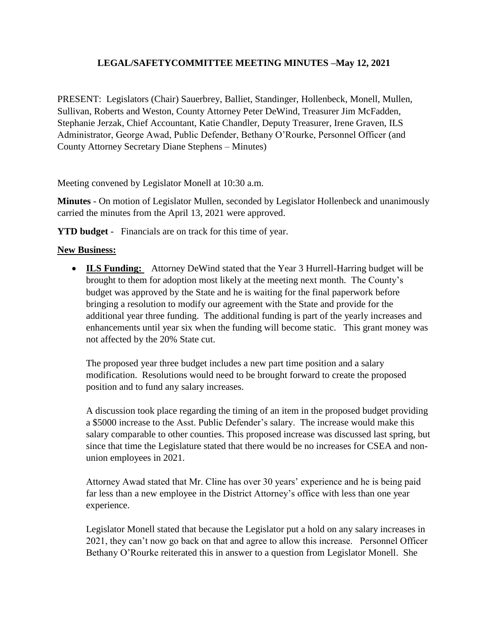## **LEGAL/SAFETYCOMMITTEE MEETING MINUTES –May 12, 2021**

PRESENT: Legislators (Chair) Sauerbrey, Balliet, Standinger, Hollenbeck, Monell, Mullen, Sullivan, Roberts and Weston, County Attorney Peter DeWind, Treasurer Jim McFadden, Stephanie Jerzak, Chief Accountant, Katie Chandler, Deputy Treasurer, Irene Graven, ILS Administrator, George Awad, Public Defender, Bethany O'Rourke, Personnel Officer (and County Attorney Secretary Diane Stephens – Minutes)

Meeting convened by Legislator Monell at 10:30 a.m.

**Minutes** - On motion of Legislator Mullen, seconded by Legislator Hollenbeck and unanimously carried the minutes from the April 13, 2021 were approved.

**YTD budget** - Financials are on track for this time of year.

## **New Business:**

 **ILS Funding:** Attorney DeWind stated that the Year 3 Hurrell-Harring budget will be brought to them for adoption most likely at the meeting next month. The County's budget was approved by the State and he is waiting for the final paperwork before bringing a resolution to modify our agreement with the State and provide for the additional year three funding. The additional funding is part of the yearly increases and enhancements until year six when the funding will become static. This grant money was not affected by the 20% State cut.

The proposed year three budget includes a new part time position and a salary modification. Resolutions would need to be brought forward to create the proposed position and to fund any salary increases.

A discussion took place regarding the timing of an item in the proposed budget providing a \$5000 increase to the Asst. Public Defender's salary. The increase would make this salary comparable to other counties. This proposed increase was discussed last spring, but since that time the Legislature stated that there would be no increases for CSEA and nonunion employees in 2021.

Attorney Awad stated that Mr. Cline has over 30 years' experience and he is being paid far less than a new employee in the District Attorney's office with less than one year experience.

Legislator Monell stated that because the Legislator put a hold on any salary increases in 2021, they can't now go back on that and agree to allow this increase. Personnel Officer Bethany O'Rourke reiterated this in answer to a question from Legislator Monell. She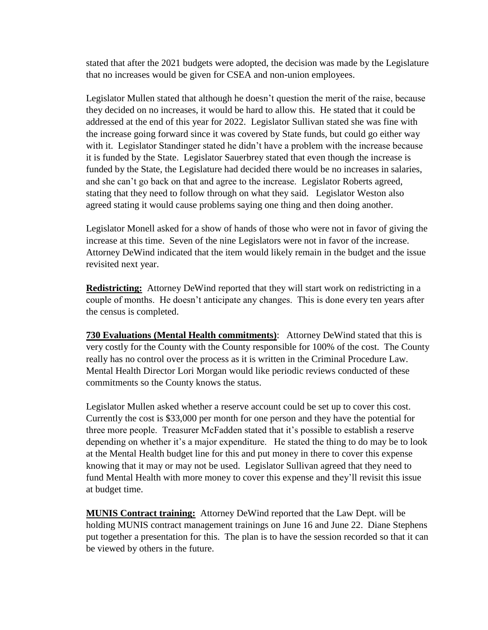stated that after the 2021 budgets were adopted, the decision was made by the Legislature that no increases would be given for CSEA and non-union employees.

Legislator Mullen stated that although he doesn't question the merit of the raise, because they decided on no increases, it would be hard to allow this. He stated that it could be addressed at the end of this year for 2022. Legislator Sullivan stated she was fine with the increase going forward since it was covered by State funds, but could go either way with it. Legislator Standinger stated he didn't have a problem with the increase because it is funded by the State. Legislator Sauerbrey stated that even though the increase is funded by the State, the Legislature had decided there would be no increases in salaries, and she can't go back on that and agree to the increase. Legislator Roberts agreed, stating that they need to follow through on what they said. Legislator Weston also agreed stating it would cause problems saying one thing and then doing another.

Legislator Monell asked for a show of hands of those who were not in favor of giving the increase at this time. Seven of the nine Legislators were not in favor of the increase. Attorney DeWind indicated that the item would likely remain in the budget and the issue revisited next year.

**Redistricting:** Attorney DeWind reported that they will start work on redistricting in a couple of months. He doesn't anticipate any changes. This is done every ten years after the census is completed.

**730 Evaluations (Mental Health commitments)**: Attorney DeWind stated that this is very costly for the County with the County responsible for 100% of the cost. The County really has no control over the process as it is written in the Criminal Procedure Law. Mental Health Director Lori Morgan would like periodic reviews conducted of these commitments so the County knows the status.

Legislator Mullen asked whether a reserve account could be set up to cover this cost. Currently the cost is \$33,000 per month for one person and they have the potential for three more people. Treasurer McFadden stated that it's possible to establish a reserve depending on whether it's a major expenditure. He stated the thing to do may be to look at the Mental Health budget line for this and put money in there to cover this expense knowing that it may or may not be used. Legislator Sullivan agreed that they need to fund Mental Health with more money to cover this expense and they'll revisit this issue at budget time.

**MUNIS Contract training:** Attorney DeWind reported that the Law Dept. will be holding MUNIS contract management trainings on June 16 and June 22. Diane Stephens put together a presentation for this. The plan is to have the session recorded so that it can be viewed by others in the future.